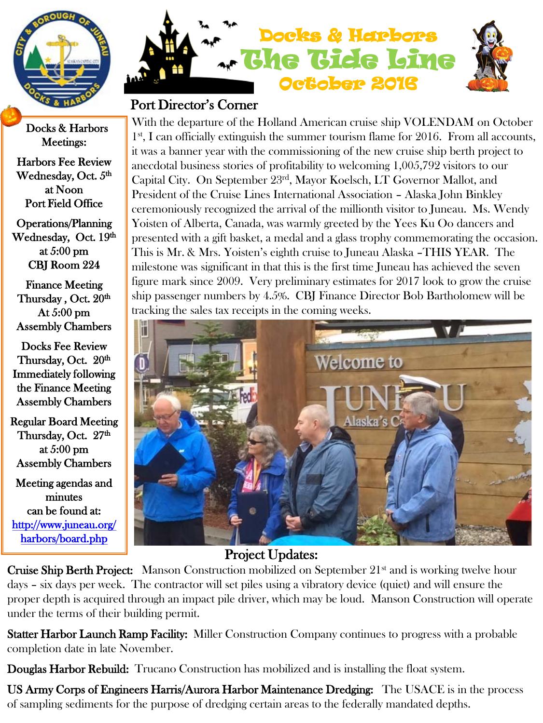

Docks & Harbors Meetings:

Harbors Fee Review Wednesday, Oct.  $5<sup>th</sup>$ at Noon Port Field Office

Operations/Planning Wednesday, Oct. 19th at 5:00 pm CBJ Room 224

Finance Meeting Thursday, Oct. 20th At 5:00 pm Assembly Chambers

Docks Fee Review Thursday, Oct. 20th Immediately following the Finance Meeting Assembly Chambers

Regular Board Meeting Thursday, Oct. 27<sup>th</sup> at 5:00 pm Assembly Chambers

Meeting agendas and minutes can be found at: [http://www.juneau.org/](http://www.juneau.org/harbors/board.php)  [harbors/board.php](http://www.juneau.org/harbors/board.php) 



## Port Director's Corner

With the departure of the Holland American cruise ship VOLENDAM on October  $1<sup>st</sup>$ , I can officially extinguish the summer tourism flame for 2016. From all accounts, it was a banner year with the commissioning of the new cruise ship berth project to anecdotal business stories of profitability to welcoming 1,005,792 visitors to our Capital City. On September 23rd, Mayor Koelsch, LT Governor Mallot, and President of the Cruise Lines International Association – Alaska John Binkley ceremoniously recognized the arrival of the millionth visitor to Juneau. Ms. Wendy Yoisten of Alberta, Canada, was warmly greeted by the Yees Ku Oo dancers and presented with a gift basket, a medal and a glass trophy commemorating the occasion. This is Mr. & Mrs. Yoisten's eighth cruise to Juneau Alaska –THIS YEAR. The milestone was significant in that this is the first time Juneau has achieved the seven figure mark since 2009. Very preliminary estimates for 2017 look to grow the cruise ship passenger numbers by 4.5%. CBJ Finance Director Bob Bartholomew will be tracking the sales tax receipts in the coming weeks.



## Project Updates:

Cruise Ship Berth Project: Manson Construction mobilized on September 21<sup>st</sup> and is working twelve hour days – six days per week. The contractor will set piles using a vibratory device (quiet) and will ensure the proper depth is acquired through an impact pile driver, which may be loud. Manson Construction will operate under the terms of their building permit.

**Statter Harbor Launch Ramp Facility:** Miller Construction Company continues to progress with a probable completion date in late November.

Douglas Harbor Rebuild: Trucano Construction has mobilized and is installing the float system.

US Army Corps of Engineers Harris/Aurora Harbor Maintenance Dredging: The USACE is in the process of sampling sediments for the purpose of dredging certain areas to the federally mandated depths.